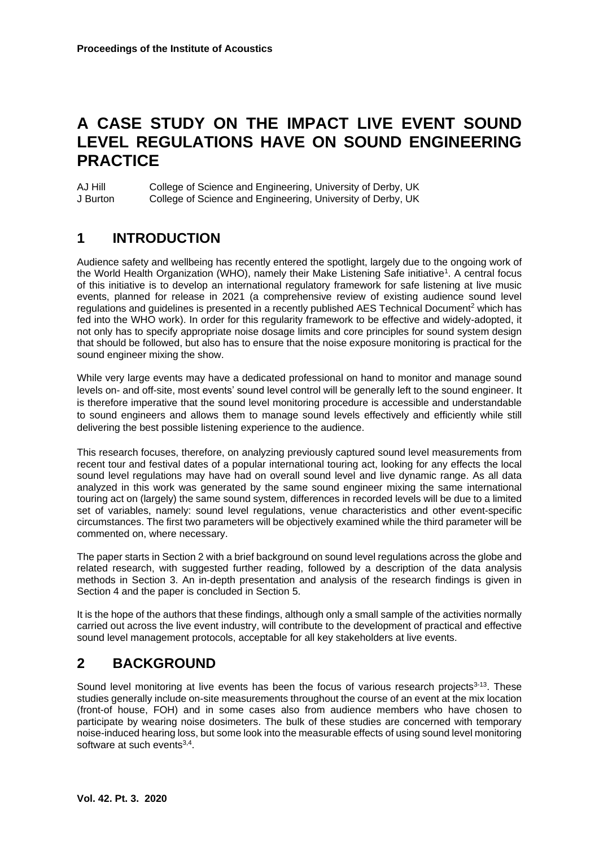# **A CASE STUDY ON THE IMPACT LIVE EVENT SOUND LEVEL REGULATIONS HAVE ON SOUND ENGINEERING PRACTICE**

AJ Hill College of Science and Engineering, University of Derby, UK J Burton College of Science and Engineering, University of Derby, UK

## **1 INTRODUCTION**

Audience safety and wellbeing has recently entered the spotlight, largely due to the ongoing work of the World Health Organization (WHO), namely their Make Listening Safe initiative<sup>1</sup>. A central focus of this initiative is to develop an international regulatory framework for safe listening at live music events, planned for release in 2021 (a comprehensive review of existing audience sound level regulations and guidelines is presented in a recently published AES Technical Document<sup>2</sup> which has fed into the WHO work). In order for this regularity framework to be effective and widely-adopted, it not only has to specify appropriate noise dosage limits and core principles for sound system design that should be followed, but also has to ensure that the noise exposure monitoring is practical for the sound engineer mixing the show.

While very large events may have a dedicated professional on hand to monitor and manage sound levels on- and off-site, most events' sound level control will be generally left to the sound engineer. It is therefore imperative that the sound level monitoring procedure is accessible and understandable to sound engineers and allows them to manage sound levels effectively and efficiently while still delivering the best possible listening experience to the audience.

This research focuses, therefore, on analyzing previously captured sound level measurements from recent tour and festival dates of a popular international touring act, looking for any effects the local sound level regulations may have had on overall sound level and live dynamic range. As all data analyzed in this work was generated by the same sound engineer mixing the same international touring act on (largely) the same sound system, differences in recorded levels will be due to a limited set of variables, namely: sound level regulations, venue characteristics and other event-specific circumstances. The first two parameters will be objectively examined while the third parameter will be commented on, where necessary.

The paper starts in Section 2 with a brief background on sound level regulations across the globe and related research, with suggested further reading, followed by a description of the data analysis methods in Section 3. An in-depth presentation and analysis of the research findings is given in Section 4 and the paper is concluded in Section 5.

It is the hope of the authors that these findings, although only a small sample of the activities normally carried out across the live event industry, will contribute to the development of practical and effective sound level management protocols, acceptable for all key stakeholders at live events.

## **2 BACKGROUND**

Sound level monitoring at live events has been the focus of various research projects<sup>3-13</sup>. These studies generally include on-site measurements throughout the course of an event at the mix location (front-of house, FOH) and in some cases also from audience members who have chosen to participate by wearing noise dosimeters. The bulk of these studies are concerned with temporary noise-induced hearing loss, but some look into the measurable effects of using sound level monitoring software at such events $3,4$ .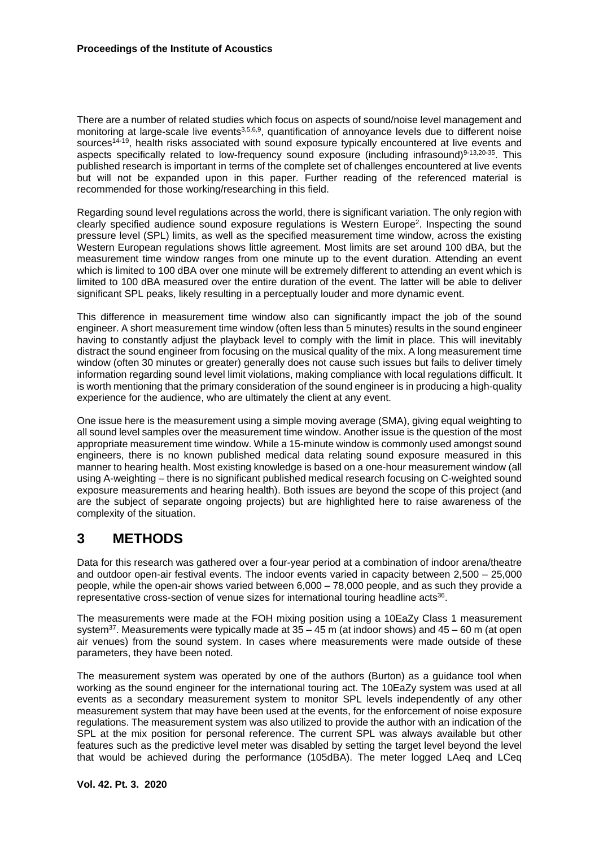There are a number of related studies which focus on aspects of sound/noise level management and monitoring at large-scale live events<sup>3,5,6,9</sup>, quantification of annoyance levels due to different noise sources<sup>14-19</sup>, health risks associated with sound exposure typically encountered at live events and aspects specifically related to low-frequency sound exposure (including infrasound)<sup>9-13,20-35</sup>. This published research is important in terms of the complete set of challenges encountered at live events but will not be expanded upon in this paper. Further reading of the referenced material is recommended for those working/researching in this field.

Regarding sound level regulations across the world, there is significant variation. The only region with clearly specified audience sound exposure regulations is Western Europe<sup>2</sup>. Inspecting the sound pressure level (SPL) limits, as well as the specified measurement time window, across the existing Western European regulations shows little agreement. Most limits are set around 100 dBA, but the measurement time window ranges from one minute up to the event duration. Attending an event which is limited to 100 dBA over one minute will be extremely different to attending an event which is limited to 100 dBA measured over the entire duration of the event. The latter will be able to deliver significant SPL peaks, likely resulting in a perceptually louder and more dynamic event.

This difference in measurement time window also can significantly impact the job of the sound engineer. A short measurement time window (often less than 5 minutes) results in the sound engineer having to constantly adjust the playback level to comply with the limit in place. This will inevitably distract the sound engineer from focusing on the musical quality of the mix. A long measurement time window (often 30 minutes or greater) generally does not cause such issues but fails to deliver timely information regarding sound level limit violations, making compliance with local regulations difficult. It is worth mentioning that the primary consideration of the sound engineer is in producing a high-quality experience for the audience, who are ultimately the client at any event.

One issue here is the measurement using a simple moving average (SMA), giving equal weighting to all sound level samples over the measurement time window. Another issue is the question of the most appropriate measurement time window. While a 15-minute window is commonly used amongst sound engineers, there is no known published medical data relating sound exposure measured in this manner to hearing health. Most existing knowledge is based on a one-hour measurement window (all using A-weighting – there is no significant published medical research focusing on C-weighted sound exposure measurements and hearing health). Both issues are beyond the scope of this project (and are the subject of separate ongoing projects) but are highlighted here to raise awareness of the complexity of the situation.

## **3 METHODS**

Data for this research was gathered over a four-year period at a combination of indoor arena/theatre and outdoor open-air festival events. The indoor events varied in capacity between 2,500 – 25,000 people, while the open-air shows varied between 6,000 – 78,000 people, and as such they provide a representative cross-section of venue sizes for international touring headline acts $36$ .

The measurements were made at the FOH mixing position using a 10EaZy Class 1 measurement system<sup>37</sup>. Measurements were typically made at  $35 - 45$  m (at indoor shows) and  $45 - 60$  m (at open air venues) from the sound system. In cases where measurements were made outside of these parameters, they have been noted.

The measurement system was operated by one of the authors (Burton) as a guidance tool when working as the sound engineer for the international touring act. The 10EaZy system was used at all events as a secondary measurement system to monitor SPL levels independently of any other measurement system that may have been used at the events, for the enforcement of noise exposure regulations. The measurement system was also utilized to provide the author with an indication of the SPL at the mix position for personal reference. The current SPL was always available but other features such as the predictive level meter was disabled by setting the target level beyond the level that would be achieved during the performance (105dBA). The meter logged LAeq and LCeq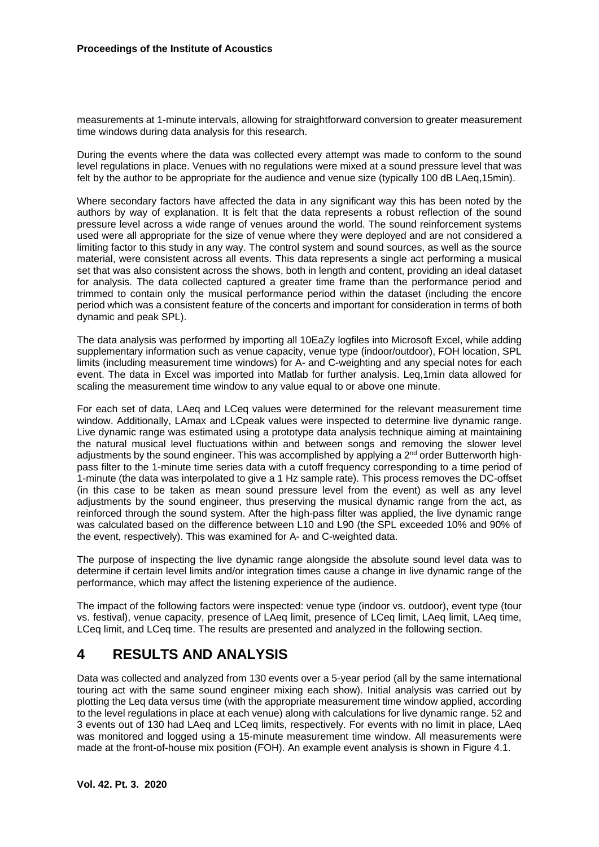measurements at 1-minute intervals, allowing for straightforward conversion to greater measurement time windows during data analysis for this research.

During the events where the data was collected every attempt was made to conform to the sound level regulations in place. Venues with no regulations were mixed at a sound pressure level that was felt by the author to be appropriate for the audience and venue size (typically 100 dB LAeq,15min).

Where secondary factors have affected the data in any significant way this has been noted by the authors by way of explanation. It is felt that the data represents a robust reflection of the sound pressure level across a wide range of venues around the world. The sound reinforcement systems used were all appropriate for the size of venue where they were deployed and are not considered a limiting factor to this study in any way. The control system and sound sources, as well as the source material, were consistent across all events. This data represents a single act performing a musical set that was also consistent across the shows, both in length and content, providing an ideal dataset for analysis. The data collected captured a greater time frame than the performance period and trimmed to contain only the musical performance period within the dataset (including the encore period which was a consistent feature of the concerts and important for consideration in terms of both dynamic and peak SPL).

The data analysis was performed by importing all 10EaZy logfiles into Microsoft Excel, while adding supplementary information such as venue capacity, venue type (indoor/outdoor), FOH location, SPL limits (including measurement time windows) for A- and C-weighting and any special notes for each event. The data in Excel was imported into Matlab for further analysis. Leq,1min data allowed for scaling the measurement time window to any value equal to or above one minute.

For each set of data, LAeq and LCeq values were determined for the relevant measurement time window. Additionally, LAmax and LCpeak values were inspected to determine live dynamic range. Live dynamic range was estimated using a prototype data analysis technique aiming at maintaining the natural musical level fluctuations within and between songs and removing the slower level adjustments by the sound engineer. This was accomplished by applying a 2<sup>nd</sup> order Butterworth highpass filter to the 1-minute time series data with a cutoff frequency corresponding to a time period of 1-minute (the data was interpolated to give a 1 Hz sample rate). This process removes the DC-offset (in this case to be taken as mean sound pressure level from the event) as well as any level adjustments by the sound engineer, thus preserving the musical dynamic range from the act, as reinforced through the sound system. After the high-pass filter was applied, the live dynamic range was calculated based on the difference between L10 and L90 (the SPL exceeded 10% and 90% of the event, respectively). This was examined for A- and C-weighted data.

The purpose of inspecting the live dynamic range alongside the absolute sound level data was to determine if certain level limits and/or integration times cause a change in live dynamic range of the performance, which may affect the listening experience of the audience.

The impact of the following factors were inspected: venue type (indoor vs. outdoor), event type (tour vs. festival), venue capacity, presence of LAeq limit, presence of LCeq limit, LAeq limit, LAeq time, LCeq limit, and LCeq time. The results are presented and analyzed in the following section.

### **4 RESULTS AND ANALYSIS**

Data was collected and analyzed from 130 events over a 5-year period (all by the same international touring act with the same sound engineer mixing each show). Initial analysis was carried out by plotting the Leq data versus time (with the appropriate measurement time window applied, according to the level regulations in place at each venue) along with calculations for live dynamic range. 52 and 3 events out of 130 had LAeq and LCeq limits, respectively. For events with no limit in place, LAeq was monitored and logged using a 15-minute measurement time window. All measurements were made at the front-of-house mix position (FOH). An example event analysis is shown in Figure 4.1.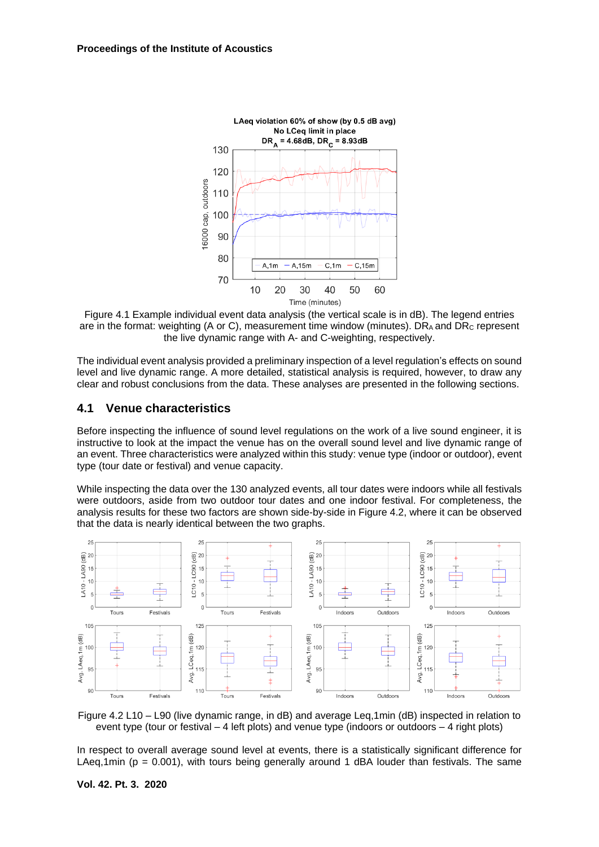

Figure 4.1 Example individual event data analysis (the vertical scale is in dB). The legend entries are in the format: weighting (A or C), measurement time window (minutes).  $DR_A$  and  $DR_C$  represent the live dynamic range with A- and C-weighting, respectively.

The individual event analysis provided a preliminary inspection of a level regulation's effects on sound level and live dynamic range. A more detailed, statistical analysis is required, however, to draw any clear and robust conclusions from the data. These analyses are presented in the following sections.

### **4.1 Venue characteristics**

Before inspecting the influence of sound level regulations on the work of a live sound engineer, it is instructive to look at the impact the venue has on the overall sound level and live dynamic range of an event. Three characteristics were analyzed within this study: venue type (indoor or outdoor), event type (tour date or festival) and venue capacity.

While inspecting the data over the 130 analyzed events, all tour dates were indoors while all festivals were outdoors, aside from two outdoor tour dates and one indoor festival. For completeness, the analysis results for these two factors are shown side-by-side in Figure 4.2, where it can be observed that the data is nearly identical between the two graphs.



Figure 4.2 L10 – L90 (live dynamic range, in dB) and average Leq,1min (dB) inspected in relation to event type (tour or festival – 4 left plots) and venue type (indoors or outdoors – 4 right plots)

In respect to overall average sound level at events, there is a statistically significant difference for LAeg,1min ( $p = 0.001$ ), with tours being generally around 1 dBA louder than festivals. The same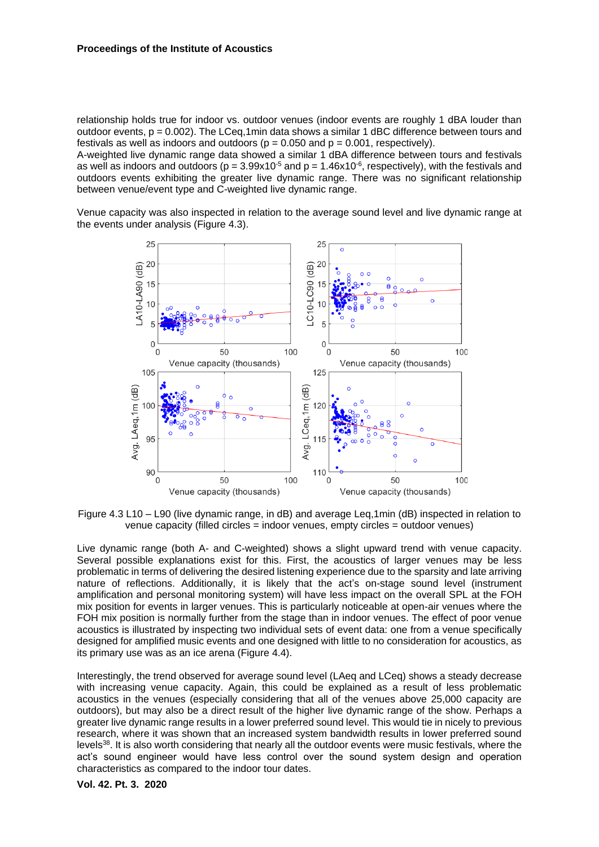relationship holds true for indoor vs. outdoor venues (indoor events are roughly 1 dBA louder than outdoor events,  $p = 0.002$ . The LCeq,1min data shows a similar 1 dBC difference between tours and festivals as well as indoors and outdoors ( $p = 0.050$  and  $p = 0.001$ , respectively).

A-weighted live dynamic range data showed a similar 1 dBA difference between tours and festivals as well as indoors and outdoors ( $p = 3.99x10^{-5}$  and  $p = 1.46x10^{-6}$ , respectively), with the festivals and outdoors events exhibiting the greater live dynamic range. There was no significant relationship between venue/event type and C-weighted live dynamic range.

Venue capacity was also inspected in relation to the average sound level and live dynamic range at the events under analysis (Figure 4.3).



Figure 4.3 L10 – L90 (live dynamic range, in dB) and average Leq,1min (dB) inspected in relation to venue capacity (filled circles = indoor venues, empty circles = outdoor venues)

Live dynamic range (both A- and C-weighted) shows a slight upward trend with venue capacity. Several possible explanations exist for this. First, the acoustics of larger venues may be less problematic in terms of delivering the desired listening experience due to the sparsity and late arriving nature of reflections. Additionally, it is likely that the act's on-stage sound level (instrument amplification and personal monitoring system) will have less impact on the overall SPL at the FOH mix position for events in larger venues. This is particularly noticeable at open-air venues where the FOH mix position is normally further from the stage than in indoor venues. The effect of poor venue acoustics is illustrated by inspecting two individual sets of event data: one from a venue specifically designed for amplified music events and one designed with little to no consideration for acoustics, as its primary use was as an ice arena (Figure 4.4).

Interestingly, the trend observed for average sound level (LAeq and LCeq) shows a steady decrease with increasing venue capacity. Again, this could be explained as a result of less problematic acoustics in the venues (especially considering that all of the venues above 25,000 capacity are outdoors), but may also be a direct result of the higher live dynamic range of the show. Perhaps a greater live dynamic range results in a lower preferred sound level. This would tie in nicely to previous research, where it was shown that an increased system bandwidth results in lower preferred sound levels<sup>38</sup>. It is also worth considering that nearly all the outdoor events were music festivals, where the act's sound engineer would have less control over the sound system design and operation characteristics as compared to the indoor tour dates.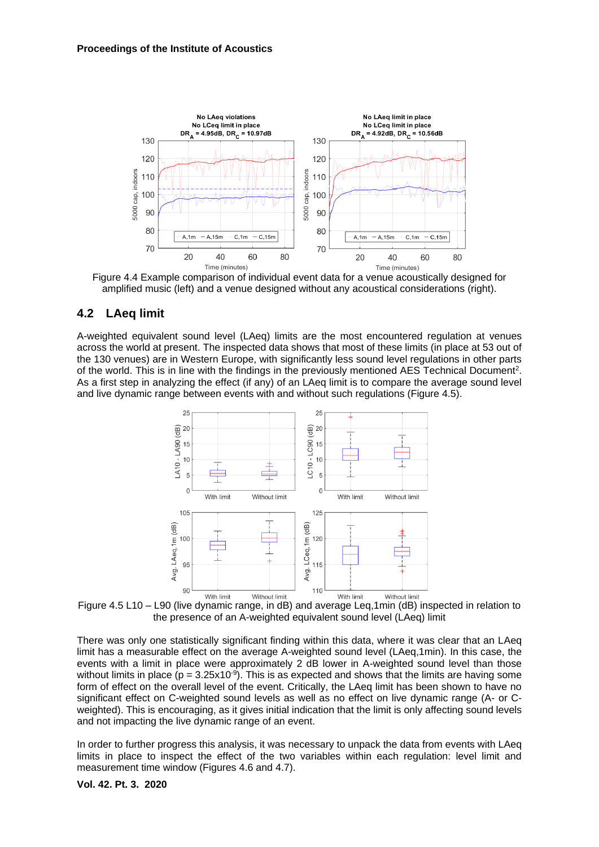

Figure 4.4 Example comparison of individual event data for a venue acoustically designed for amplified music (left) and a venue designed without any acoustical considerations (right).

### **4.2 LAeq limit**

A-weighted equivalent sound level (LAeq) limits are the most encountered regulation at venues across the world at present. The inspected data shows that most of these limits (in place at 53 out of the 130 venues) are in Western Europe, with significantly less sound level regulations in other parts of the world. This is in line with the findings in the previously mentioned AES Technical Document<sup>2</sup>. As a first step in analyzing the effect (if any) of an LAeq limit is to compare the average sound level and live dynamic range between events with and without such regulations (Figure 4.5).



Figure 4.5 L10 – L90 (live dynamic range, in dB) and average Leq,1min (dB) inspected in relation to the presence of an A-weighted equivalent sound level (LAeq) limit

There was only one statistically significant finding within this data, where it was clear that an LAeq limit has a measurable effect on the average A-weighted sound level (LAeq,1min). In this case, the events with a limit in place were approximately 2 dB lower in A-weighted sound level than those without limits in place ( $p = 3.25 \times 10^{-9}$ ). This is as expected and shows that the limits are having some form of effect on the overall level of the event. Critically, the LAeq limit has been shown to have no significant effect on C-weighted sound levels as well as no effect on live dynamic range (A- or Cweighted). This is encouraging, as it gives initial indication that the limit is only affecting sound levels and not impacting the live dynamic range of an event.

In order to further progress this analysis, it was necessary to unpack the data from events with LAeq limits in place to inspect the effect of the two variables within each regulation: level limit and measurement time window (Figures 4.6 and 4.7).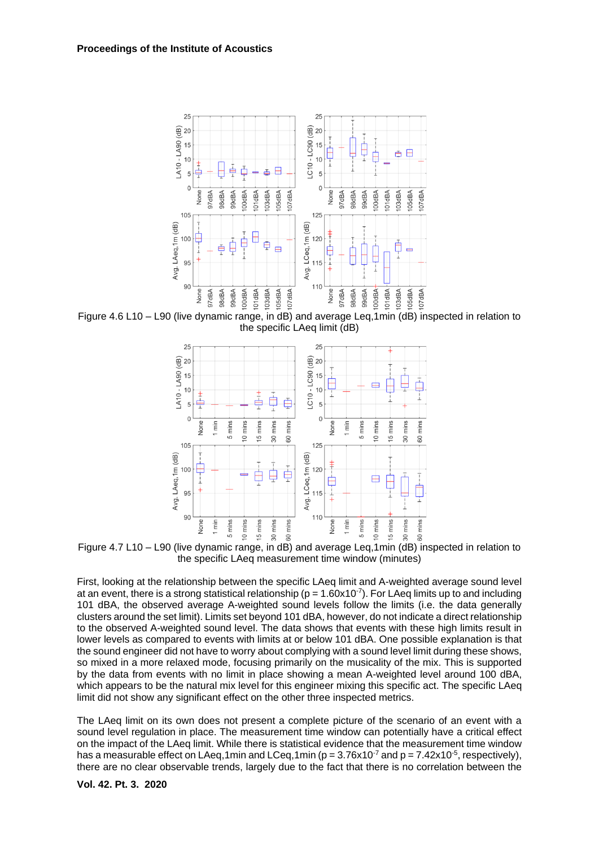

Figure 4.6 L10 – L90 (live dynamic range, in dB) and average Leq,1min (dB) inspected in relation to the specific LAeq limit (dB)



Figure 4.7 L10 – L90 (live dynamic range, in dB) and average Leq,1min (dB) inspected in relation to the specific LAeq measurement time window (minutes)

First, looking at the relationship between the specific LAeq limit and A-weighted average sound level at an event, there is a strong statistical relationship ( $p = 1.60x10^{-7}$ ). For LAeq limits up to and including 101 dBA, the observed average A-weighted sound levels follow the limits (i.e. the data generally clusters around the set limit). Limits set beyond 101 dBA, however, do not indicate a direct relationship to the observed A-weighted sound level. The data shows that events with these high limits result in lower levels as compared to events with limits at or below 101 dBA. One possible explanation is that the sound engineer did not have to worry about complying with a sound level limit during these shows, so mixed in a more relaxed mode, focusing primarily on the musicality of the mix. This is supported by the data from events with no limit in place showing a mean A-weighted level around 100 dBA, which appears to be the natural mix level for this engineer mixing this specific act. The specific LAeq limit did not show any significant effect on the other three inspected metrics.

The LAeq limit on its own does not present a complete picture of the scenario of an event with a sound level regulation in place. The measurement time window can potentially have a critical effect on the impact of the LAeq limit. While there is statistical evidence that the measurement time window has a measurable effect on LAeq,1min and LCeq,1min ( $p = 3.76 \times 10^{-7}$  and  $p = 7.42 \times 10^{-5}$ , respectively), there are no clear observable trends, largely due to the fact that there is no correlation between the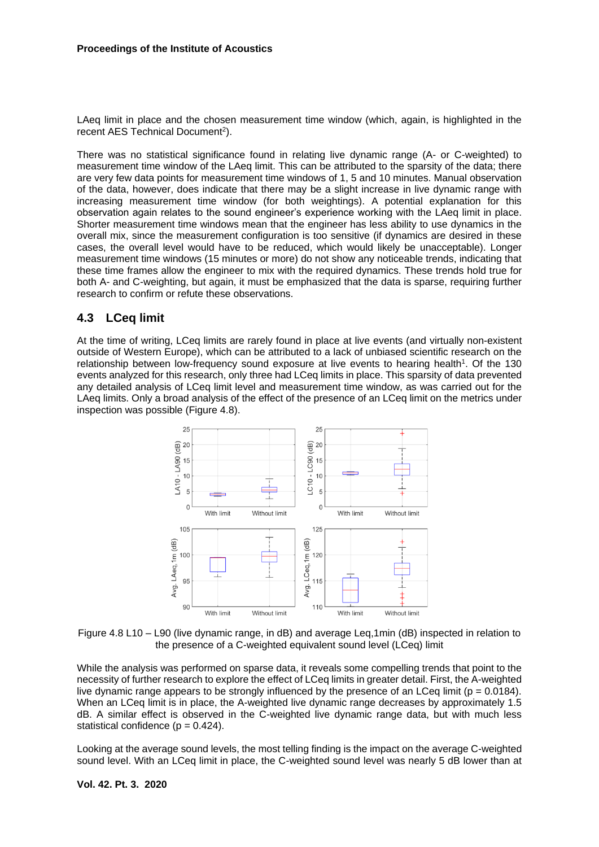LAeq limit in place and the chosen measurement time window (which, again, is highlighted in the recent AES Technical Document<sup>2</sup>).

There was no statistical significance found in relating live dynamic range (A- or C-weighted) to measurement time window of the LAeq limit. This can be attributed to the sparsity of the data; there are very few data points for measurement time windows of 1, 5 and 10 minutes. Manual observation of the data, however, does indicate that there may be a slight increase in live dynamic range with increasing measurement time window (for both weightings). A potential explanation for this observation again relates to the sound engineer's experience working with the LAeq limit in place. Shorter measurement time windows mean that the engineer has less ability to use dynamics in the overall mix, since the measurement configuration is too sensitive (if dynamics are desired in these cases, the overall level would have to be reduced, which would likely be unacceptable). Longer measurement time windows (15 minutes or more) do not show any noticeable trends, indicating that these time frames allow the engineer to mix with the required dynamics. These trends hold true for both A- and C-weighting, but again, it must be emphasized that the data is sparse, requiring further research to confirm or refute these observations.

### **4.3 LCeq limit**

At the time of writing, LCeq limits are rarely found in place at live events (and virtually non-existent outside of Western Europe), which can be attributed to a lack of unbiased scientific research on the relationship between low-frequency sound exposure at live events to hearing health<sup>1</sup>. Of the 130 events analyzed for this research, only three had LCeq limits in place. This sparsity of data prevented any detailed analysis of LCeq limit level and measurement time window, as was carried out for the LAeq limits. Only a broad analysis of the effect of the presence of an LCeq limit on the metrics under inspection was possible (Figure 4.8).



Figure 4.8 L10 – L90 (live dynamic range, in dB) and average Leq,1min (dB) inspected in relation to the presence of a C-weighted equivalent sound level (LCeq) limit

While the analysis was performed on sparse data, it reveals some compelling trends that point to the necessity of further research to explore the effect of LCeq limits in greater detail. First, the A-weighted live dynamic range appears to be strongly influenced by the presence of an LCeq limit ( $p = 0.0184$ ). When an LCeq limit is in place, the A-weighted live dynamic range decreases by approximately 1.5 dB. A similar effect is observed in the C-weighted live dynamic range data, but with much less statistical confidence  $(p = 0.424)$ .

Looking at the average sound levels, the most telling finding is the impact on the average C-weighted sound level. With an LCeq limit in place, the C-weighted sound level was nearly 5 dB lower than at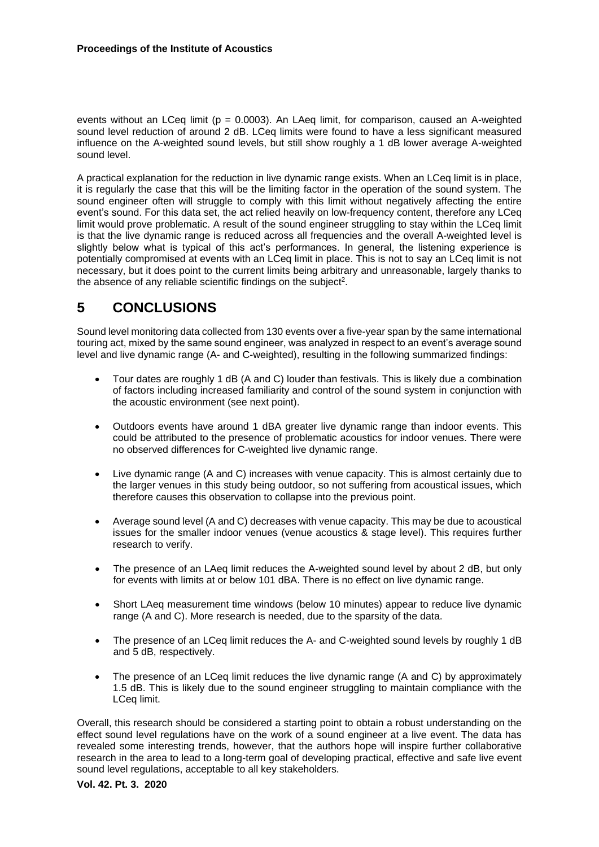events without an LCeq limit ( $p = 0.0003$ ). An LAeq limit, for comparison, caused an A-weighted sound level reduction of around 2 dB. LCeq limits were found to have a less significant measured influence on the A-weighted sound levels, but still show roughly a 1 dB lower average A-weighted sound level.

A practical explanation for the reduction in live dynamic range exists. When an LCeq limit is in place, it is regularly the case that this will be the limiting factor in the operation of the sound system. The sound engineer often will struggle to comply with this limit without negatively affecting the entire event's sound. For this data set, the act relied heavily on low-frequency content, therefore any LCeq limit would prove problematic. A result of the sound engineer struggling to stay within the LCeq limit is that the live dynamic range is reduced across all frequencies and the overall A-weighted level is slightly below what is typical of this act's performances. In general, the listening experience is potentially compromised at events with an LCeq limit in place. This is not to say an LCeq limit is not necessary, but it does point to the current limits being arbitrary and unreasonable, largely thanks to the absence of any reliable scientific findings on the subject<sup>2</sup>.

## **5 CONCLUSIONS**

Sound level monitoring data collected from 130 events over a five-year span by the same international touring act, mixed by the same sound engineer, was analyzed in respect to an event's average sound level and live dynamic range (A- and C-weighted), resulting in the following summarized findings:

- Tour dates are roughly 1 dB (A and C) louder than festivals. This is likely due a combination of factors including increased familiarity and control of the sound system in conjunction with the acoustic environment (see next point).
- Outdoors events have around 1 dBA greater live dynamic range than indoor events. This could be attributed to the presence of problematic acoustics for indoor venues. There were no observed differences for C-weighted live dynamic range.
- Live dynamic range (A and C) increases with venue capacity. This is almost certainly due to the larger venues in this study being outdoor, so not suffering from acoustical issues, which therefore causes this observation to collapse into the previous point.
- Average sound level (A and C) decreases with venue capacity. This may be due to acoustical issues for the smaller indoor venues (venue acoustics & stage level). This requires further research to verify.
- The presence of an LAeq limit reduces the A-weighted sound level by about 2 dB, but only for events with limits at or below 101 dBA. There is no effect on live dynamic range.
- Short LAeq measurement time windows (below 10 minutes) appear to reduce live dynamic range (A and C). More research is needed, due to the sparsity of the data.
- The presence of an LCeq limit reduces the A- and C-weighted sound levels by roughly 1 dB and 5 dB, respectively.
- The presence of an LCeq limit reduces the live dynamic range (A and C) by approximately 1.5 dB. This is likely due to the sound engineer struggling to maintain compliance with the LCeq limit.

Overall, this research should be considered a starting point to obtain a robust understanding on the effect sound level regulations have on the work of a sound engineer at a live event. The data has revealed some interesting trends, however, that the authors hope will inspire further collaborative research in the area to lead to a long-term goal of developing practical, effective and safe live event sound level regulations, acceptable to all key stakeholders.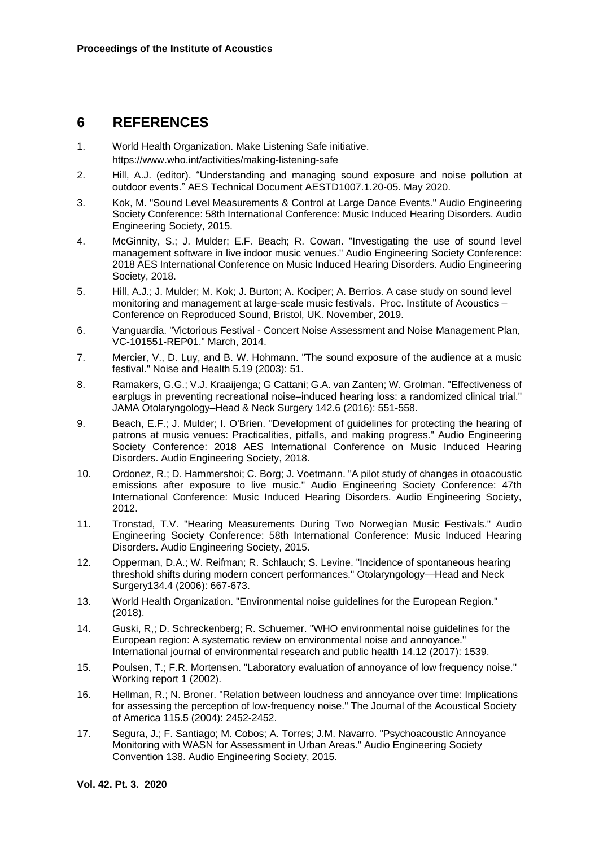### **6 REFERENCES**

- 1. World Health Organization. Make Listening Safe initiative. https://www.who.int/activities/making-listening-safe
- 2. Hill, A.J. (editor). "Understanding and managing sound exposure and noise pollution at outdoor events." AES Technical Document AESTD1007.1.20-05. May 2020.
- 3. Kok, M. "Sound Level Measurements & Control at Large Dance Events." Audio Engineering Society Conference: 58th International Conference: Music Induced Hearing Disorders. Audio Engineering Society, 2015.
- 4. McGinnity, S.; J. Mulder; E.F. Beach; R. Cowan. "Investigating the use of sound level management software in live indoor music venues." Audio Engineering Society Conference: 2018 AES International Conference on Music Induced Hearing Disorders. Audio Engineering Society, 2018.
- 5. Hill, A.J.; J. Mulder; M. Kok; J. Burton; A. Kociper; A. Berrios. A case study on sound level monitoring and management at large-scale music festivals. Proc. Institute of Acoustics – Conference on Reproduced Sound, Bristol, UK. November, 2019.
- 6. Vanguardia. "Victorious Festival Concert Noise Assessment and Noise Management Plan, VC-101551-REP01." March, 2014.
- 7. Mercier, V., D. Luy, and B. W. Hohmann. "The sound exposure of the audience at a music festival." Noise and Health 5.19 (2003): 51.
- 8. Ramakers, G.G.; V.J. Kraaijenga; G Cattani; G.A. van Zanten; W. Grolman. "Effectiveness of earplugs in preventing recreational noise–induced hearing loss: a randomized clinical trial." JAMA Otolaryngology–Head & Neck Surgery 142.6 (2016): 551-558.
- 9. Beach, E.F.; J. Mulder; I. O'Brien. "Development of guidelines for protecting the hearing of patrons at music venues: Practicalities, pitfalls, and making progress." Audio Engineering Society Conference: 2018 AES International Conference on Music Induced Hearing Disorders. Audio Engineering Society, 2018.
- 10. Ordonez, R.; D. Hammershoi; C. Borg; J. Voetmann. "A pilot study of changes in otoacoustic emissions after exposure to live music." Audio Engineering Society Conference: 47th International Conference: Music Induced Hearing Disorders. Audio Engineering Society, 2012.
- 11. Tronstad, T.V. "Hearing Measurements During Two Norwegian Music Festivals." Audio Engineering Society Conference: 58th International Conference: Music Induced Hearing Disorders. Audio Engineering Society, 2015.
- 12. Opperman, D.A.; W. Reifman; R. Schlauch; S. Levine. "Incidence of spontaneous hearing threshold shifts during modern concert performances." Otolaryngology—Head and Neck Surgery134.4 (2006): 667-673.
- 13. World Health Organization. "Environmental noise guidelines for the European Region." (2018).
- 14. Guski, R,; D. Schreckenberg; R. Schuemer. "WHO environmental noise guidelines for the European region: A systematic review on environmental noise and annoyance." International journal of environmental research and public health 14.12 (2017): 1539.
- 15. Poulsen, T.; F.R. Mortensen. "Laboratory evaluation of annoyance of low frequency noise." Working report 1 (2002).
- 16. Hellman, R.; N. Broner. "Relation between loudness and annoyance over time: Implications for assessing the perception of low-frequency noise." The Journal of the Acoustical Society of America 115.5 (2004): 2452-2452.
- 17. Segura, J.; F. Santiago; M. Cobos; A. Torres; J.M. Navarro. "Psychoacoustic Annoyance Monitoring with WASN for Assessment in Urban Areas." Audio Engineering Society Convention 138. Audio Engineering Society, 2015.